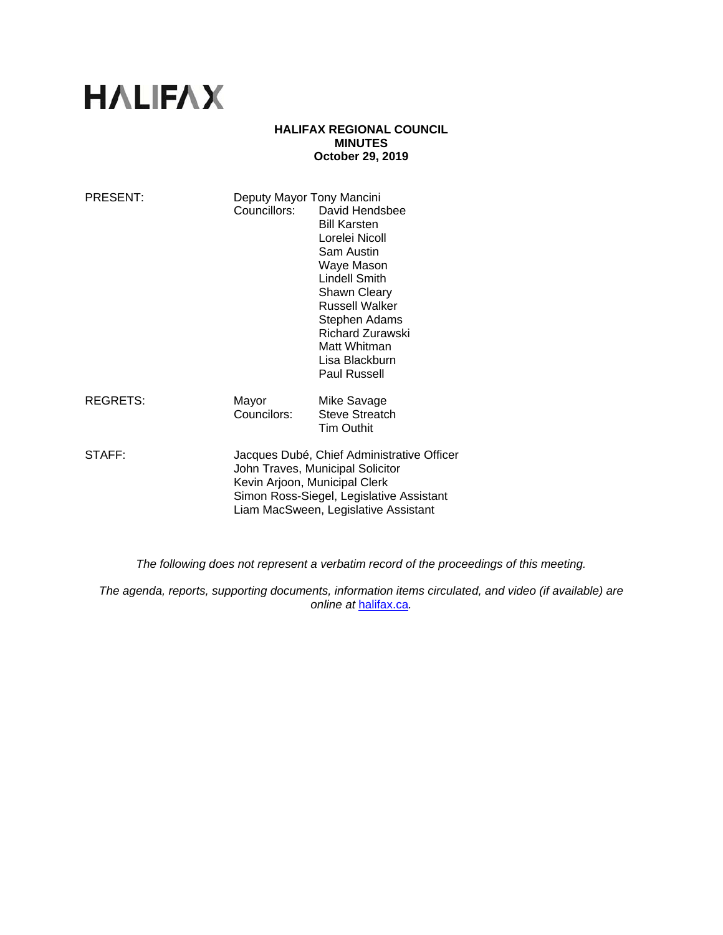# **HALIFAX**

## **HALIFAX REGIONAL COUNCIL MINUTES October 29, 2019**

| PRESENT:        | Deputy Mayor Tony Mancini<br>Councillors:                                                                                                                                                           | David Hendsbee<br><b>Bill Karsten</b><br>Lorelei Nicoll<br>Sam Austin<br>Waye Mason<br><b>Lindell Smith</b><br>Shawn Cleary<br><b>Russell Walker</b><br>Stephen Adams<br><b>Richard Zurawski</b><br>Matt Whitman<br>Lisa Blackburn<br>Paul Russell |
|-----------------|-----------------------------------------------------------------------------------------------------------------------------------------------------------------------------------------------------|----------------------------------------------------------------------------------------------------------------------------------------------------------------------------------------------------------------------------------------------------|
| <b>REGRETS:</b> | Mayor<br>Councilors:                                                                                                                                                                                | Mike Savage<br><b>Steve Streatch</b><br><b>Tim Outhit</b>                                                                                                                                                                                          |
| STAFF:          | Jacques Dubé, Chief Administrative Officer<br>John Traves, Municipal Solicitor<br>Kevin Arjoon, Municipal Clerk<br>Simon Ross-Siegel, Legislative Assistant<br>Liam MacSween, Legislative Assistant |                                                                                                                                                                                                                                                    |

*The following does not represent a verbatim record of the proceedings of this meeting.* 

*The agenda, reports, supporting documents, information items circulated, and video (if available) are online at* halifax.ca*.*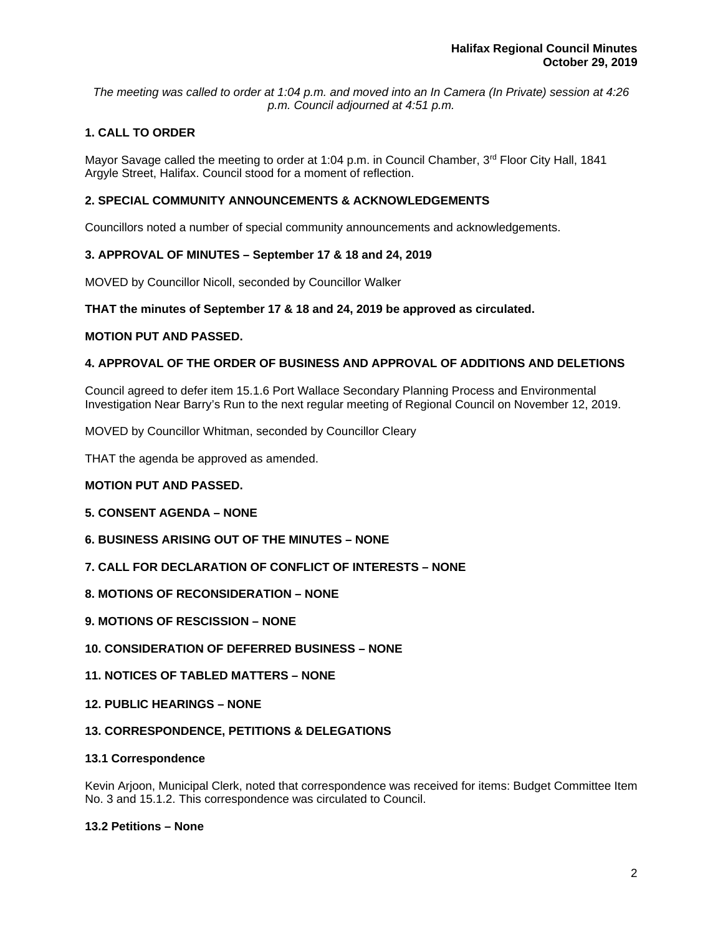*The meeting was called to order at 1:04 p.m. and moved into an In Camera (In Private) session at 4:26 p.m. Council adjourned at 4:51 p.m.*

# **1. CALL TO ORDER**

Mayor Savage called the meeting to order at 1:04 p.m. in Council Chamber, 3<sup>rd</sup> Floor City Hall, 1841 Argyle Street, Halifax. Council stood for a moment of reflection.

## **2. SPECIAL COMMUNITY ANNOUNCEMENTS & ACKNOWLEDGEMENTS**

Councillors noted a number of special community announcements and acknowledgements.

## **3. APPROVAL OF MINUTES – September 17 & 18 and 24, 2019**

MOVED by Councillor Nicoll, seconded by Councillor Walker

## **THAT the minutes of September 17 & 18 and 24, 2019 be approved as circulated.**

## **MOTION PUT AND PASSED.**

## **4. APPROVAL OF THE ORDER OF BUSINESS AND APPROVAL OF ADDITIONS AND DELETIONS**

Council agreed to defer item 15.1.6 Port Wallace Secondary Planning Process and Environmental Investigation Near Barry's Run to the next regular meeting of Regional Council on November 12, 2019.

MOVED by Councillor Whitman, seconded by Councillor Cleary

THAT the agenda be approved as amended.

## **MOTION PUT AND PASSED.**

## **5. CONSENT AGENDA – NONE**

- **6. BUSINESS ARISING OUT OF THE MINUTES NONE**
- **7. CALL FOR DECLARATION OF CONFLICT OF INTERESTS NONE**
- **8. MOTIONS OF RECONSIDERATION NONE**
- **9. MOTIONS OF RESCISSION NONE**
- **10. CONSIDERATION OF DEFERRED BUSINESS NONE**
- **11. NOTICES OF TABLED MATTERS NONE**
- **12. PUBLIC HEARINGS NONE**

## **13. CORRESPONDENCE, PETITIONS & DELEGATIONS**

## **13.1 Correspondence**

Kevin Arjoon, Municipal Clerk, noted that correspondence was received for items: Budget Committee Item No. 3 and 15.1.2. This correspondence was circulated to Council.

## **13.2 Petitions – None**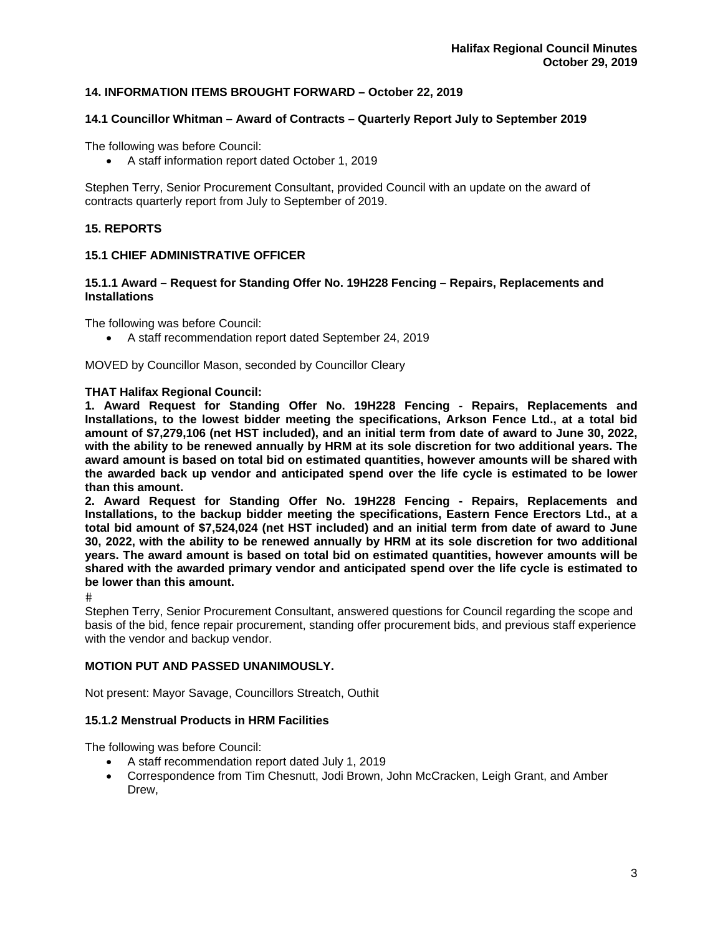# **14. INFORMATION ITEMS BROUGHT FORWARD – October 22, 2019**

## **14.1 Councillor Whitman – Award of Contracts – Quarterly Report July to September 2019**

The following was before Council:

A staff information report dated October 1, 2019

Stephen Terry, Senior Procurement Consultant, provided Council with an update on the award of contracts quarterly report from July to September of 2019.

## **15. REPORTS**

#### **15.1 CHIEF ADMINISTRATIVE OFFICER**

#### **15.1.1 Award – Request for Standing Offer No. 19H228 Fencing – Repairs, Replacements and Installations**

The following was before Council:

A staff recommendation report dated September 24, 2019

MOVED by Councillor Mason, seconded by Councillor Cleary

#### **THAT Halifax Regional Council:**

**1. Award Request for Standing Offer No. 19H228 Fencing - Repairs, Replacements and Installations, to the lowest bidder meeting the specifications, Arkson Fence Ltd., at a total bid amount of \$7,279,106 (net HST included), and an initial term from date of award to June 30, 2022, with the ability to be renewed annually by HRM at its sole discretion for two additional years. The award amount is based on total bid on estimated quantities, however amounts will be shared with the awarded back up vendor and anticipated spend over the life cycle is estimated to be lower than this amount.** 

**2. Award Request for Standing Offer No. 19H228 Fencing - Repairs, Replacements and Installations, to the backup bidder meeting the specifications, Eastern Fence Erectors Ltd., at a total bid amount of \$7,524,024 (net HST included) and an initial term from date of award to June 30, 2022, with the ability to be renewed annually by HRM at its sole discretion for two additional years. The award amount is based on total bid on estimated quantities, however amounts will be shared with the awarded primary vendor and anticipated spend over the life cycle is estimated to be lower than this amount.** 

 $#$ 

Stephen Terry, Senior Procurement Consultant, answered questions for Council regarding the scope and basis of the bid, fence repair procurement, standing offer procurement bids, and previous staff experience with the vendor and backup vendor.

## **MOTION PUT AND PASSED UNANIMOUSLY.**

Not present: Mayor Savage, Councillors Streatch, Outhit

## **15.1.2 Menstrual Products in HRM Facilities**

The following was before Council:

- A staff recommendation report dated July 1, 2019
- Correspondence from Tim Chesnutt, Jodi Brown, John McCracken, Leigh Grant, and Amber Drew,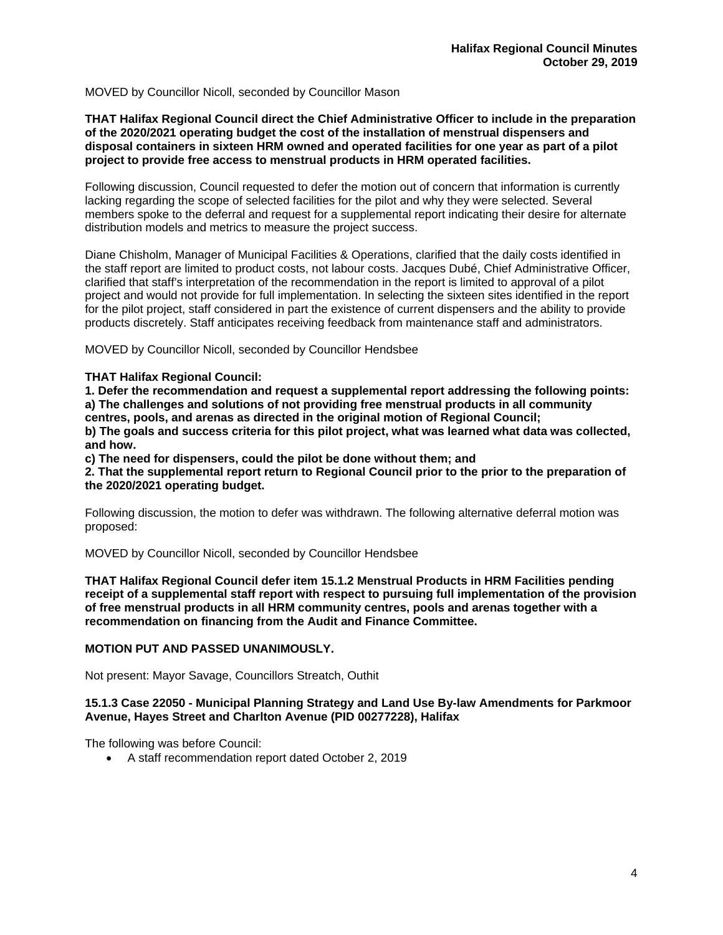MOVED by Councillor Nicoll, seconded by Councillor Mason

## **THAT Halifax Regional Council direct the Chief Administrative Officer to include in the preparation of the 2020/2021 operating budget the cost of the installation of menstrual dispensers and disposal containers in sixteen HRM owned and operated facilities for one year as part of a pilot project to provide free access to menstrual products in HRM operated facilities.**

Following discussion, Council requested to defer the motion out of concern that information is currently lacking regarding the scope of selected facilities for the pilot and why they were selected. Several members spoke to the deferral and request for a supplemental report indicating their desire for alternate distribution models and metrics to measure the project success.

Diane Chisholm, Manager of Municipal Facilities & Operations, clarified that the daily costs identified in the staff report are limited to product costs, not labour costs. Jacques Dubé, Chief Administrative Officer, clarified that staff's interpretation of the recommendation in the report is limited to approval of a pilot project and would not provide for full implementation. In selecting the sixteen sites identified in the report for the pilot project, staff considered in part the existence of current dispensers and the ability to provide products discretely. Staff anticipates receiving feedback from maintenance staff and administrators.

MOVED by Councillor Nicoll, seconded by Councillor Hendsbee

## **THAT Halifax Regional Council:**

**1. Defer the recommendation and request a supplemental report addressing the following points: a) The challenges and solutions of not providing free menstrual products in all community centres, pools, and arenas as directed in the original motion of Regional Council;** 

**b) The goals and success criteria for this pilot project, what was learned what data was collected, and how.** 

**c) The need for dispensers, could the pilot be done without them; and** 

**2. That the supplemental report return to Regional Council prior to the prior to the preparation of the 2020/2021 operating budget.** 

Following discussion, the motion to defer was withdrawn. The following alternative deferral motion was proposed:

MOVED by Councillor Nicoll, seconded by Councillor Hendsbee

**THAT Halifax Regional Council defer item 15.1.2 Menstrual Products in HRM Facilities pending receipt of a supplemental staff report with respect to pursuing full implementation of the provision of free menstrual products in all HRM community centres, pools and arenas together with a recommendation on financing from the Audit and Finance Committee.** 

## **MOTION PUT AND PASSED UNANIMOUSLY.**

Not present: Mayor Savage, Councillors Streatch, Outhit

## **15.1.3 Case 22050 - Municipal Planning Strategy and Land Use By-law Amendments for Parkmoor Avenue, Hayes Street and Charlton Avenue (PID 00277228), Halifax**

The following was before Council:

A staff recommendation report dated October 2, 2019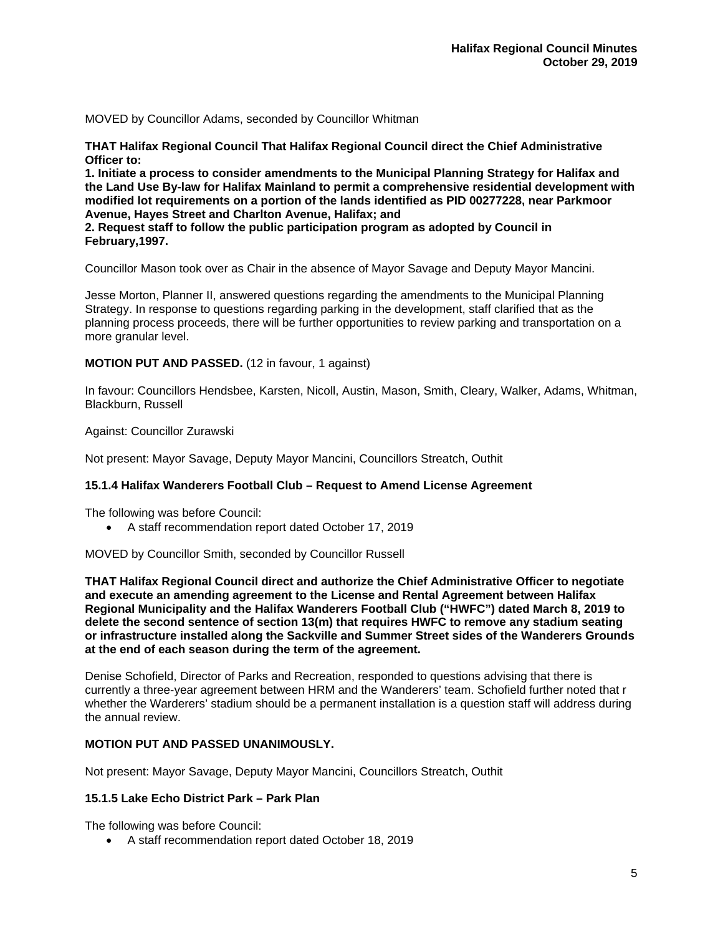MOVED by Councillor Adams, seconded by Councillor Whitman

**THAT Halifax Regional Council That Halifax Regional Council direct the Chief Administrative Officer to:** 

**1. Initiate a process to consider amendments to the Municipal Planning Strategy for Halifax and the Land Use By-law for Halifax Mainland to permit a comprehensive residential development with modified lot requirements on a portion of the lands identified as PID 00277228, near Parkmoor Avenue, Hayes Street and Charlton Avenue, Halifax; and** 

**2. Request staff to follow the public participation program as adopted by Council in February,1997.** 

Councillor Mason took over as Chair in the absence of Mayor Savage and Deputy Mayor Mancini.

Jesse Morton, Planner II, answered questions regarding the amendments to the Municipal Planning Strategy. In response to questions regarding parking in the development, staff clarified that as the planning process proceeds, there will be further opportunities to review parking and transportation on a more granular level.

## **MOTION PUT AND PASSED.** (12 in favour, 1 against)

In favour: Councillors Hendsbee, Karsten, Nicoll, Austin, Mason, Smith, Cleary, Walker, Adams, Whitman, Blackburn, Russell

Against: Councillor Zurawski

Not present: Mayor Savage, Deputy Mayor Mancini, Councillors Streatch, Outhit

## **15.1.4 Halifax Wanderers Football Club – Request to Amend License Agreement**

The following was before Council:

A staff recommendation report dated October 17, 2019

MOVED by Councillor Smith, seconded by Councillor Russell

**THAT Halifax Regional Council direct and authorize the Chief Administrative Officer to negotiate and execute an amending agreement to the License and Rental Agreement between Halifax Regional Municipality and the Halifax Wanderers Football Club ("HWFC") dated March 8, 2019 to delete the second sentence of section 13(m) that requires HWFC to remove any stadium seating or infrastructure installed along the Sackville and Summer Street sides of the Wanderers Grounds at the end of each season during the term of the agreement.** 

Denise Schofield, Director of Parks and Recreation, responded to questions advising that there is currently a three-year agreement between HRM and the Wanderers' team. Schofield further noted that r whether the Warderers' stadium should be a permanent installation is a question staff will address during the annual review.

## **MOTION PUT AND PASSED UNANIMOUSLY.**

Not present: Mayor Savage, Deputy Mayor Mancini, Councillors Streatch, Outhit

## **15.1.5 Lake Echo District Park – Park Plan**

The following was before Council:

A staff recommendation report dated October 18, 2019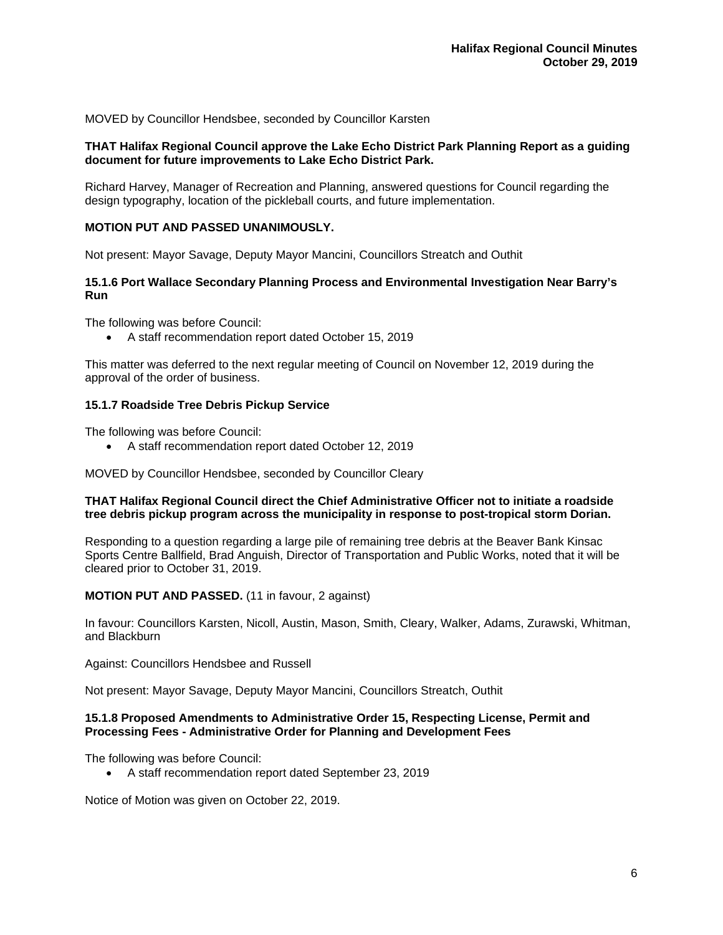MOVED by Councillor Hendsbee, seconded by Councillor Karsten

## **THAT Halifax Regional Council approve the Lake Echo District Park Planning Report as a guiding document for future improvements to Lake Echo District Park.**

Richard Harvey, Manager of Recreation and Planning, answered questions for Council regarding the design typography, location of the pickleball courts, and future implementation.

## **MOTION PUT AND PASSED UNANIMOUSLY.**

Not present: Mayor Savage, Deputy Mayor Mancini, Councillors Streatch and Outhit

## **15.1.6 Port Wallace Secondary Planning Process and Environmental Investigation Near Barry's Run**

The following was before Council:

A staff recommendation report dated October 15, 2019

This matter was deferred to the next regular meeting of Council on November 12, 2019 during the approval of the order of business.

#### **15.1.7 Roadside Tree Debris Pickup Service**

The following was before Council:

A staff recommendation report dated October 12, 2019

MOVED by Councillor Hendsbee, seconded by Councillor Cleary

## **THAT Halifax Regional Council direct the Chief Administrative Officer not to initiate a roadside tree debris pickup program across the municipality in response to post-tropical storm Dorian.**

Responding to a question regarding a large pile of remaining tree debris at the Beaver Bank Kinsac Sports Centre Ballfield, Brad Anguish, Director of Transportation and Public Works, noted that it will be cleared prior to October 31, 2019.

## **MOTION PUT AND PASSED.** (11 in favour, 2 against)

In favour: Councillors Karsten, Nicoll, Austin, Mason, Smith, Cleary, Walker, Adams, Zurawski, Whitman, and Blackburn

Against: Councillors Hendsbee and Russell

Not present: Mayor Savage, Deputy Mayor Mancini, Councillors Streatch, Outhit

## **15.1.8 Proposed Amendments to Administrative Order 15, Respecting License, Permit and Processing Fees - Administrative Order for Planning and Development Fees**

The following was before Council:

A staff recommendation report dated September 23, 2019

Notice of Motion was given on October 22, 2019.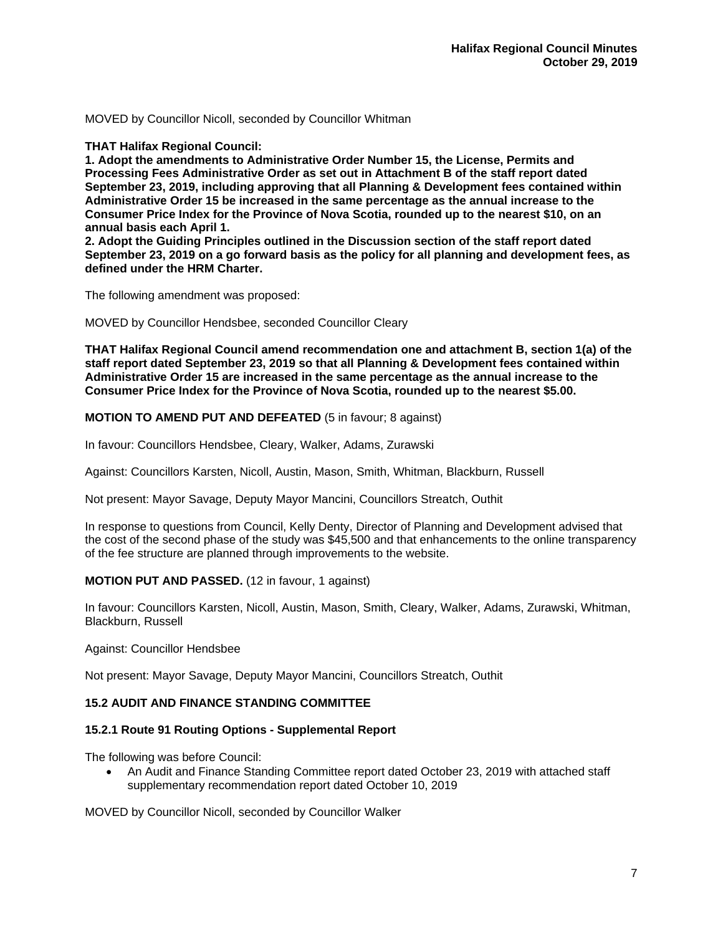MOVED by Councillor Nicoll, seconded by Councillor Whitman

**THAT Halifax Regional Council:** 

**1. Adopt the amendments to Administrative Order Number 15, the License, Permits and Processing Fees Administrative Order as set out in Attachment B of the staff report dated September 23, 2019, including approving that all Planning & Development fees contained within Administrative Order 15 be increased in the same percentage as the annual increase to the Consumer Price Index for the Province of Nova Scotia, rounded up to the nearest \$10, on an annual basis each April 1.** 

**2. Adopt the Guiding Principles outlined in the Discussion section of the staff report dated September 23, 2019 on a go forward basis as the policy for all planning and development fees, as defined under the HRM Charter.** 

The following amendment was proposed:

MOVED by Councillor Hendsbee, seconded Councillor Cleary

**THAT Halifax Regional Council amend recommendation one and attachment B, section 1(a) of the staff report dated September 23, 2019 so that all Planning & Development fees contained within Administrative Order 15 are increased in the same percentage as the annual increase to the Consumer Price Index for the Province of Nova Scotia, rounded up to the nearest \$5.00.** 

**MOTION TO AMEND PUT AND DEFEATED** (5 in favour; 8 against)

In favour: Councillors Hendsbee, Cleary, Walker, Adams, Zurawski

Against: Councillors Karsten, Nicoll, Austin, Mason, Smith, Whitman, Blackburn, Russell

Not present: Mayor Savage, Deputy Mayor Mancini, Councillors Streatch, Outhit

In response to questions from Council, Kelly Denty, Director of Planning and Development advised that the cost of the second phase of the study was \$45,500 and that enhancements to the online transparency of the fee structure are planned through improvements to the website.

## **MOTION PUT AND PASSED.** (12 in favour, 1 against)

In favour: Councillors Karsten, Nicoll, Austin, Mason, Smith, Cleary, Walker, Adams, Zurawski, Whitman, Blackburn, Russell

## Against: Councillor Hendsbee

Not present: Mayor Savage, Deputy Mayor Mancini, Councillors Streatch, Outhit

## **15.2 AUDIT AND FINANCE STANDING COMMITTEE**

## **15.2.1 Route 91 Routing Options - Supplemental Report**

The following was before Council:

 An Audit and Finance Standing Committee report dated October 23, 2019 with attached staff supplementary recommendation report dated October 10, 2019

MOVED by Councillor Nicoll, seconded by Councillor Walker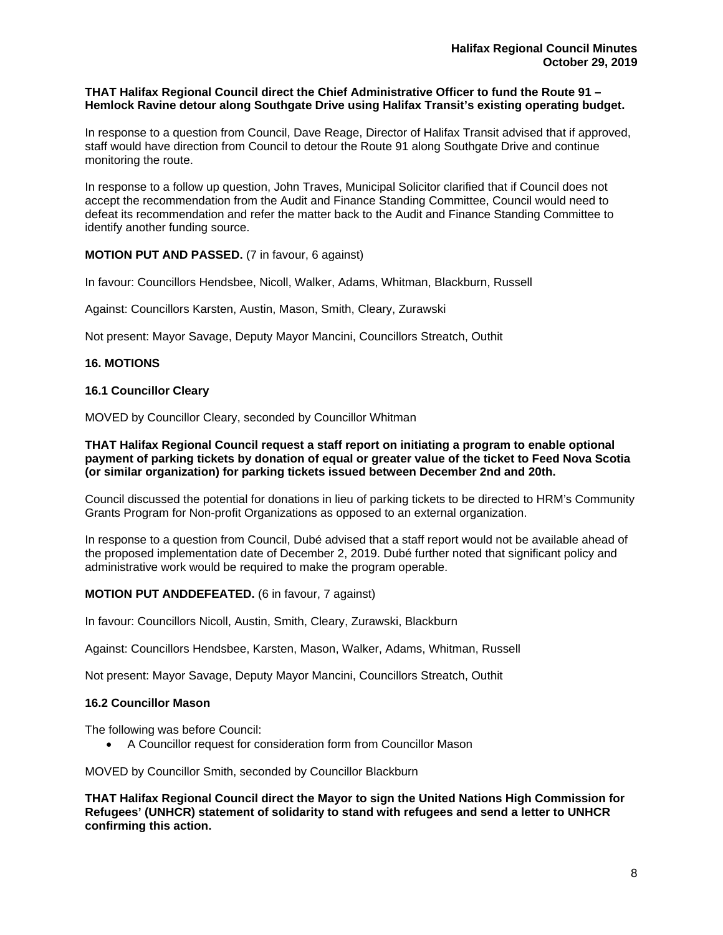## **THAT Halifax Regional Council direct the Chief Administrative Officer to fund the Route 91 – Hemlock Ravine detour along Southgate Drive using Halifax Transit's existing operating budget.**

In response to a question from Council, Dave Reage, Director of Halifax Transit advised that if approved, staff would have direction from Council to detour the Route 91 along Southgate Drive and continue monitoring the route.

In response to a follow up question, John Traves, Municipal Solicitor clarified that if Council does not accept the recommendation from the Audit and Finance Standing Committee, Council would need to defeat its recommendation and refer the matter back to the Audit and Finance Standing Committee to identify another funding source.

## **MOTION PUT AND PASSED.** (7 in favour, 6 against)

In favour: Councillors Hendsbee, Nicoll, Walker, Adams, Whitman, Blackburn, Russell

Against: Councillors Karsten, Austin, Mason, Smith, Cleary, Zurawski

Not present: Mayor Savage, Deputy Mayor Mancini, Councillors Streatch, Outhit

## **16. MOTIONS**

## **16.1 Councillor Cleary**

MOVED by Councillor Cleary, seconded by Councillor Whitman

**THAT Halifax Regional Council request a staff report on initiating a program to enable optional payment of parking tickets by donation of equal or greater value of the ticket to Feed Nova Scotia (or similar organization) for parking tickets issued between December 2nd and 20th.** 

Council discussed the potential for donations in lieu of parking tickets to be directed to HRM's Community Grants Program for Non-profit Organizations as opposed to an external organization.

In response to a question from Council, Dubé advised that a staff report would not be available ahead of the proposed implementation date of December 2, 2019. Dubé further noted that significant policy and administrative work would be required to make the program operable.

## **MOTION PUT ANDDEFEATED.** (6 in favour, 7 against)

In favour: Councillors Nicoll, Austin, Smith, Cleary, Zurawski, Blackburn

Against: Councillors Hendsbee, Karsten, Mason, Walker, Adams, Whitman, Russell

Not present: Mayor Savage, Deputy Mayor Mancini, Councillors Streatch, Outhit

## **16.2 Councillor Mason**

The following was before Council:

A Councillor request for consideration form from Councillor Mason

MOVED by Councillor Smith, seconded by Councillor Blackburn

**THAT Halifax Regional Council direct the Mayor to sign the United Nations High Commission for Refugees' (UNHCR) statement of solidarity to stand with refugees and send a letter to UNHCR confirming this action.**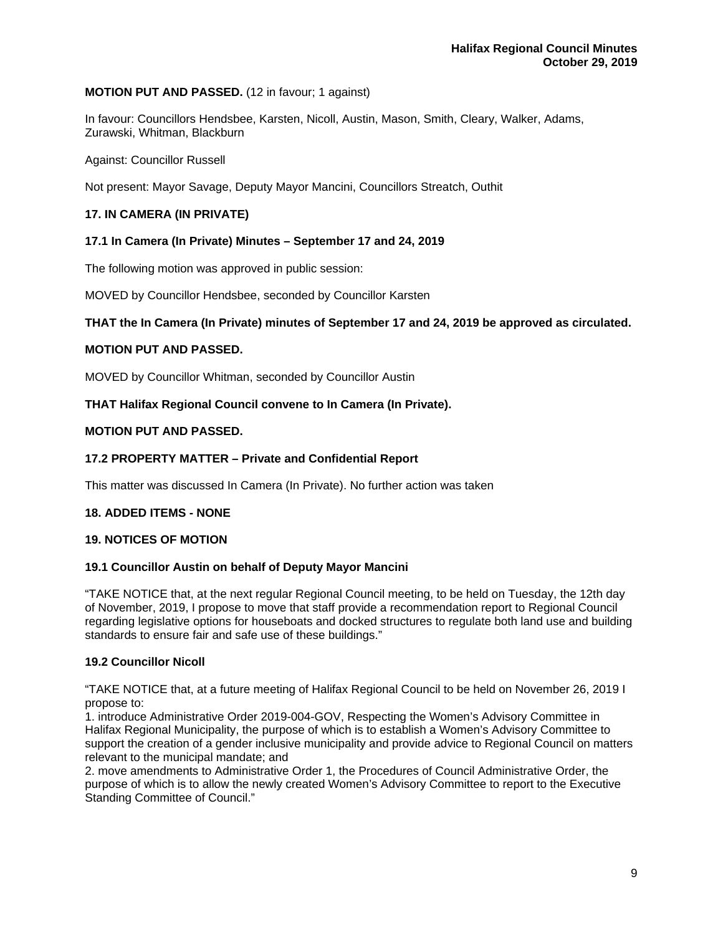## **MOTION PUT AND PASSED.** (12 in favour; 1 against)

In favour: Councillors Hendsbee, Karsten, Nicoll, Austin, Mason, Smith, Cleary, Walker, Adams, Zurawski, Whitman, Blackburn

Against: Councillor Russell

Not present: Mayor Savage, Deputy Mayor Mancini, Councillors Streatch, Outhit

## **17. IN CAMERA (IN PRIVATE)**

## **17.1 In Camera (In Private) Minutes – September 17 and 24, 2019**

The following motion was approved in public session:

MOVED by Councillor Hendsbee, seconded by Councillor Karsten

## **THAT the In Camera (In Private) minutes of September 17 and 24, 2019 be approved as circulated.**

## **MOTION PUT AND PASSED.**

MOVED by Councillor Whitman, seconded by Councillor Austin

**THAT Halifax Regional Council convene to In Camera (In Private).** 

## **MOTION PUT AND PASSED.**

## **17.2 PROPERTY MATTER – Private and Confidential Report**

This matter was discussed In Camera (In Private). No further action was taken

## **18. ADDED ITEMS - NONE**

## **19. NOTICES OF MOTION**

## **19.1 Councillor Austin on behalf of Deputy Mayor Mancini**

"TAKE NOTICE that, at the next regular Regional Council meeting, to be held on Tuesday, the 12th day of November, 2019, I propose to move that staff provide a recommendation report to Regional Council regarding legislative options for houseboats and docked structures to regulate both land use and building standards to ensure fair and safe use of these buildings."

## **19.2 Councillor Nicoll**

"TAKE NOTICE that, at a future meeting of Halifax Regional Council to be held on November 26, 2019 I propose to:

1. introduce Administrative Order 2019-004-GOV, Respecting the Women's Advisory Committee in Halifax Regional Municipality, the purpose of which is to establish a Women's Advisory Committee to support the creation of a gender inclusive municipality and provide advice to Regional Council on matters relevant to the municipal mandate; and

2. move amendments to Administrative Order 1, the Procedures of Council Administrative Order, the purpose of which is to allow the newly created Women's Advisory Committee to report to the Executive Standing Committee of Council."